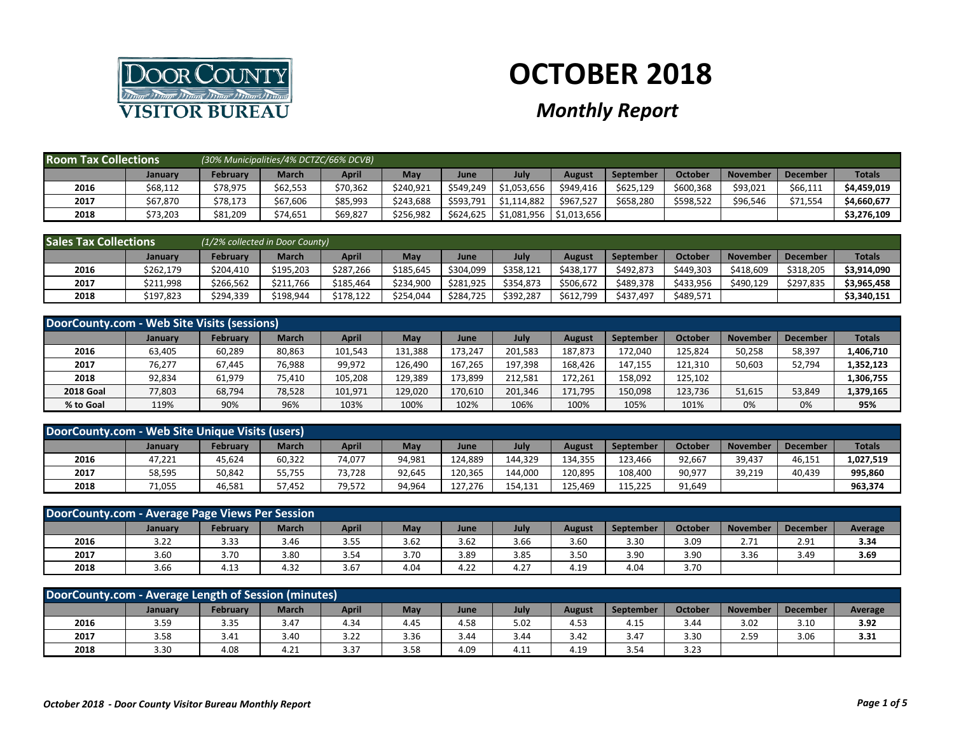

## **OCTOBER 2018**

## *Monthly Report*

| <b>Room Tax Collections</b> |                |          | (30% Municipalities/4% DCTZC/66% DCVB) |          |           |           |             |             |                  |               |                 |                 |               |
|-----------------------------|----------------|----------|----------------------------------------|----------|-----------|-----------|-------------|-------------|------------------|---------------|-----------------|-----------------|---------------|
|                             | <b>January</b> | Februarv | March                                  | April    | May       | June      | July        | August      | <b>September</b> | <b>Octobe</b> | <b>November</b> | <b>December</b> | <b>Totals</b> |
| 2016                        | \$68,112       | \$78,975 | \$62,553                               | \$70,362 | \$240.921 | \$549,249 | \$1,053,656 | \$949,416   | \$625.129        | \$600,368     | \$93,021        | \$66,111        | \$4,459,019   |
| 2017                        | \$67,870       | \$78,173 | \$67,606                               | \$85,993 | \$243,688 | \$593,791 | \$1,114,882 | \$967,527   | \$658,280        | \$598,522     | \$96,546        | \$71,554        | \$4,660,677   |
| 2018                        | \$73,203       | \$81,209 | \$74,651                               | \$69,827 | \$256,982 | \$624,625 | \$1,081,956 | \$1,013,656 |                  |               |                 |                 | \$3,276,109   |

| <b>Sales Tax Collections</b> |           |                 | (1/2% collected in Door County) |              |           |           |           |           |                  |           |                 |                 |               |
|------------------------------|-----------|-----------------|---------------------------------|--------------|-----------|-----------|-----------|-----------|------------------|-----------|-----------------|-----------------|---------------|
|                              | January   | <b>February</b> | <b>March</b>                    | <b>April</b> | May       | June      | July      | August    | <b>September</b> | October   | <b>November</b> | <b>December</b> | <b>Totals</b> |
| 2016                         | \$262,179 | \$204,410       | \$195,203                       | \$287.266    | \$185.645 | \$304,099 | \$358,121 | \$438,177 | \$492,873        | \$449.303 | \$418,609       | \$318,205       | \$3,914,090   |
| 2017                         | \$211,998 | \$266.562       | \$211.766                       | \$185.464    | \$234.900 | \$281.925 | \$354.873 | \$506,672 | \$489.378        | \$433.956 | \$490.129       | \$297.835       | \$3,965,458   |
| 2018                         | \$197,823 | \$294,339       | \$198,944                       | \$178.122    | \$254.044 | \$284,725 | \$392.287 | \$612,799 | \$437,497        | \$489,571 |                 |                 | \$3,340,151   |

| DoorCounty.com - Web Site Visits (sessions) |                |                 |              |         |         |         |         |         |                  |         |                 |                 |           |
|---------------------------------------------|----------------|-----------------|--------------|---------|---------|---------|---------|---------|------------------|---------|-----------------|-----------------|-----------|
|                                             | <b>January</b> | <b>February</b> | <b>March</b> | April   | May     | June    | July    | August  | <b>September</b> | October | <b>November</b> | <b>December</b> | Totals    |
| 2016                                        | 63,405         | 60,289          | 80,863       | 101,543 | 131,388 | 173,247 | 201,583 | 187,873 | 172.040          | 125.824 | 50,258          | 58,397          | 1,406,710 |
| 2017                                        | 76,277         | 67,445          | 76,988       | 99,972  | 126.490 | 167,265 | 197.398 | 168,426 | 147.155          | 121.310 | 50,603          | 52,794          | 1,352,123 |
| 2018                                        | 92,834         | 61,979          | 75,410       | 105,208 | 129,389 | 173,899 | 212.581 | 172,261 | 158,092          | 125,102 |                 |                 | 1,306,755 |
| <b>2018 Goal</b>                            | 77,803         | 68,794          | 78,528       | 101,971 | 129,020 | 170,610 | 201,346 | 171,795 | 150,098          | 123,736 | 51,615          | 53,849          | 1,379,165 |
| % to Goal                                   | 119%           | 90%             | 96%          | 103%    | 100%    | 102%    | 106%    | 100%    | 105%             | 101%    | 0%              | 0%              | 95%       |

| DoorCounty.com - Web Site Unique Visits (users) |         |                 |              |              |        |         |         |         |                  |         |                 |                 |               |
|-------------------------------------------------|---------|-----------------|--------------|--------------|--------|---------|---------|---------|------------------|---------|-----------------|-----------------|---------------|
|                                                 | January | <b>February</b> | <b>March</b> | <b>April</b> | May    | June    | July    | August  | <b>September</b> | October | <b>November</b> | <b>December</b> | <b>Totals</b> |
| 2016                                            | 47,221  | 45,624          | 60,322       | 74,077       | 94,981 | 124.889 | 144.329 | 134.355 | 123.466          | 92,667  | 39,437          | 46,151          | 1,027,519     |
| 2017                                            | 58,595  | 50,842          | 55,755       | 73,728       | 92,645 | 120,365 | 144,000 | 120,895 | 108.400          | 90,977  | 39,219          | 40,439          | 995,860       |
| 2018                                            | 71,055  | 46,581          | 57,452       | 79,572       | 94,964 | 127.276 | 154,131 | 125,469 | 115,225          | 91,649  |                 |                 | 963,374       |

|                                                                                                                                                                  | DoorCounty.com - Average Page Views Per Session |      |      |      |      |      |      |      |      |      |      |         |      |
|------------------------------------------------------------------------------------------------------------------------------------------------------------------|-------------------------------------------------|------|------|------|------|------|------|------|------|------|------|---------|------|
| <b>March</b><br><b>April</b><br>July<br><b>February</b><br>May<br>October<br><b>November</b><br><b>December</b><br><b>September</b><br>August<br>January<br>June |                                                 |      |      |      |      |      |      |      |      |      |      | Average |      |
| 2016                                                                                                                                                             | 3.22                                            | 3.33 | 3.46 | 3.55 | 3.62 | 3.62 | 3.66 | 3.60 | 3.30 | 3.09 | 2.71 | 2.91    | 3.34 |
| 2017                                                                                                                                                             | 3.60                                            | 3.70 | 3.80 | 3.54 | 3.70 | 3.89 | 3.85 | 3.50 | 3.90 | 3.90 | 3.36 | 3.49    | 3.69 |
| 2018                                                                                                                                                             | 3.66                                            | 4.13 | 4.32 | 3.67 | 4.04 | 4.22 | 4.27 | 4.19 | 4.04 | 3.70 |      |         |      |

| DoorCounty.com - Average Length of Session (minutes)                                                                                                                 |      |      |      |      |      |      |              |      |      |      |      |      |      |
|----------------------------------------------------------------------------------------------------------------------------------------------------------------------|------|------|------|------|------|------|--------------|------|------|------|------|------|------|
| July<br>May<br>October<br>Februarv<br><b>March</b><br><b>April</b><br><b>November</b><br><b>September</b><br><b>December</b><br>August<br>January<br>Average<br>June |      |      |      |      |      |      |              |      |      |      |      |      |      |
| 2016                                                                                                                                                                 | 3.59 | 3.35 | 3.47 | 4.34 | 4.45 | 4.58 | 5.02         | 4.53 | 4.15 | 3.44 | 3.02 | 3.10 | 3.92 |
| 2017                                                                                                                                                                 | 3.58 | 3.41 | 3.40 | 3.22 | 3.36 | 3.44 | 3.44         | 3.42 | 3.47 | 3.3C | 2.59 | 3.06 | 3.31 |
| 2018                                                                                                                                                                 | 3.30 | 4.08 | 4.21 | 3.37 | 3.58 | 4.09 | 1.11<br>4.Lr | 4.19 | 3.54 | 3.23 |      |      |      |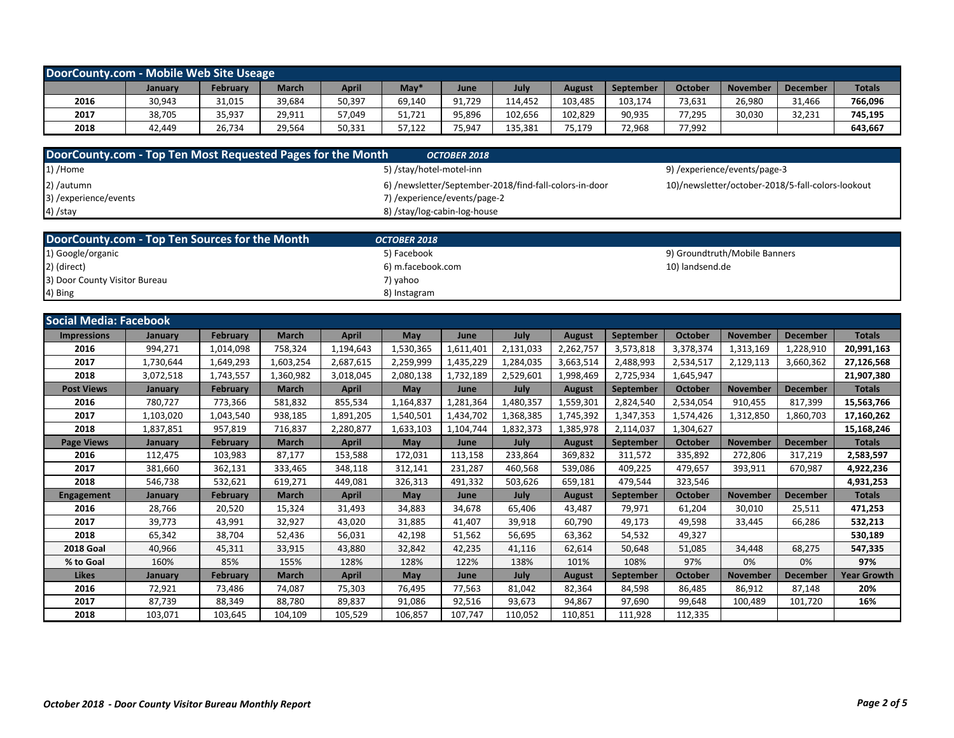| DoorCounty.com - Mobile Web Site Useage |         |          |              |        |        |             |         |         |                  |                |                 |                 |               |
|-----------------------------------------|---------|----------|--------------|--------|--------|-------------|---------|---------|------------------|----------------|-----------------|-----------------|---------------|
|                                         | January | February | <b>March</b> | April  | May    | <b>June</b> | July    | August  | <b>September</b> | <b>October</b> | <b>November</b> | <b>December</b> | <b>Totals</b> |
| 2016                                    | 30,943  | 31,015   | 39,684       | 50,397 | 69,140 | 91,729      | 114.452 | 103.485 | 103,174          | 73,631         | 26,980          | 31,466          | 766,096       |
| 2017                                    | 38,705  | 35,937   | 29,911       | 57,049 | 51.721 | 95,896      | 102,656 | 102,829 | 90,935           | 77,295         | 30,030          | 32,231          | 745,195       |
| 2018                                    | 42.449  | 26.734   | 29,564       | 50,331 | 57.122 | 75,947      | 135.381 | 75,179  | 72,968           | 77,992         |                 |                 | 643,667       |

| DoorCounty.com - Top Ten Most Requested Pages for the Month | <b>OCTOBER 2018</b>                                    |                                                   |
|-------------------------------------------------------------|--------------------------------------------------------|---------------------------------------------------|
| $1)$ /Home                                                  | 5) /stay/hotel-motel-inn                               | 9) /experience/events/page-3                      |
| 2) /autumn                                                  | 6) /newsletter/September-2018/find-fall-colors-in-door | 10)/newsletter/october-2018/5-fall-colors-lookout |
| 3) /experience/events                                       | 7) / experience/events/page-2                          |                                                   |
| 4) /stay                                                    | 8) /stay/log-cabin-log-house                           |                                                   |

| DoorCounty.com - Top Ten Sources for the Month | <b>OCTOBER 2018</b> |                               |
|------------------------------------------------|---------------------|-------------------------------|
| 1) Google/organic                              | 5) Facebook         | 9) Groundtruth/Mobile Banners |
| 2) (direct)                                    | 6) m.facebook.com   | 10) landsend.de               |
| 3) Door County Visitor Bureau                  | 7) yahoo            |                               |
| 4) Bing                                        | 8) Instagram        |                               |

| <b>Social Media: Facebook</b> |                |           |              |              |           |           |           |               |                  |                |                 |                 |                    |
|-------------------------------|----------------|-----------|--------------|--------------|-----------|-----------|-----------|---------------|------------------|----------------|-----------------|-----------------|--------------------|
| <b>Impressions</b>            | <b>January</b> | February  | <b>March</b> | <b>April</b> | May       | June      | July      | <b>August</b> | September        | October        | <b>November</b> | <b>December</b> | <b>Totals</b>      |
| 2016                          | 994,271        | 1,014,098 | 758,324      | 1,194,643    | 1,530,365 | 1,611,401 | 2,131,033 | 2,262,757     | 3,573,818        | 3,378,374      | 1,313,169       | 1,228,910       | 20,991,163         |
| 2017                          | 1,730,644      | 1,649,293 | 1,603,254    | 2,687,615    | 2,259,999 | 1,435,229 | 1,284,035 | 3,663,514     | 2,488,993        | 2,534,517      | 2,129,113       | 3,660,362       | 27,126,568         |
| 2018                          | 3,072,518      | 1,743,557 | 1,360,982    | 3,018,045    | 2,080,138 | 1,732,189 | 2,529,601 | 1,998,469     | 2,725,934        | 1,645,947      |                 |                 | 21,907,380         |
| <b>Post Views</b>             | <b>January</b> | February  | <b>March</b> | <b>April</b> | May       | June      | July      | <b>August</b> | <b>September</b> | <b>October</b> | <b>November</b> | <b>December</b> | <b>Totals</b>      |
| 2016                          | 780,727        | 773,366   | 581,832      | 855,534      | 1,164,837 | 1,281,364 | 1,480,357 | 1,559,301     | 2,824,540        | 2,534,054      | 910,455         | 817,399         | 15,563,766         |
| 2017                          | 1,103,020      | 1,043,540 | 938,185      | 1,891,205    | 1,540,501 | 1,434,702 | 1,368,385 | 1,745,392     | 1,347,353        | 1,574,426      | 1,312,850       | 1,860,703       | 17,160,262         |
| 2018                          | 1,837,851      | 957,819   | 716,837      | 2,280,877    | 1,633,103 | 1,104,744 | 1,832,373 | 1,385,978     | 2,114,037        | 1,304,627      |                 |                 | 15,168,246         |
| <b>Page Views</b>             | January        | February  | <b>March</b> | <b>April</b> | May       | June      | July      | <b>August</b> | September        | <b>October</b> | <b>November</b> | <b>December</b> | <b>Totals</b>      |
| 2016                          | 112.475        | 103.983   | 87,177       | 153,588      | 172.031   | 113.158   | 233.864   | 369.832       | 311,572          | 335.892        | 272.806         | 317,219         | 2,583,597          |
| 2017                          | 381.660        | 362.131   | 333.465      | 348.118      | 312.141   | 231,287   | 460,568   | 539.086       | 409,225          | 479.657        | 393,911         | 670.987         | 4,922,236          |
| 2018                          | 546,738        | 532,621   | 619,271      | 449,081      | 326,313   | 491,332   | 503,626   | 659,181       | 479,544          | 323,546        |                 |                 | 4,931,253          |
| <b>Engagement</b>             | <b>January</b> | February  | <b>March</b> | <b>April</b> | May       | June      | July      | <b>August</b> | September        | <b>October</b> | <b>November</b> | <b>December</b> | <b>Totals</b>      |
| 2016                          | 28,766         | 20,520    | 15,324       | 31,493       | 34.883    | 34.678    | 65,406    | 43,487        | 79,971           | 61,204         | 30,010          | 25,511          | 471,253            |
| 2017                          | 39,773         | 43,991    | 32,927       | 43,020       | 31,885    | 41,407    | 39,918    | 60,790        | 49,173           | 49,598         | 33,445          | 66,286          | 532,213            |
| 2018                          | 65,342         | 38.704    | 52,436       | 56,031       | 42,198    | 51,562    | 56,695    | 63,362        | 54,532           | 49,327         |                 |                 | 530,189            |
| <b>2018 Goal</b>              | 40,966         | 45,311    | 33,915       | 43,880       | 32,842    | 42,235    | 41,116    | 62,614        | 50,648           | 51,085         | 34,448          | 68,275          | 547,335            |
| % to Goal                     | 160%           | 85%       | 155%         | 128%         | 128%      | 122%      | 138%      | 101%          | 108%             | 97%            | 0%              | 0%              | 97%                |
| <b>Likes</b>                  | <b>January</b> | February  | <b>March</b> | <b>April</b> | May       | June      | July      | <b>August</b> | September        | <b>October</b> | <b>November</b> | <b>December</b> | <b>Year Growth</b> |
| 2016                          | 72,921         | 73,486    | 74,087       | 75,303       | 76,495    | 77,563    | 81,042    | 82,364        | 84,598           | 86,485         | 86,912          | 87,148          | 20%                |
| 2017                          | 87,739         | 88,349    | 88,780       | 89,837       | 91,086    | 92,516    | 93,673    | 94,867        | 97,690           | 99,648         | 100,489         | 101,720         | 16%                |
| 2018                          | 103,071        | 103,645   | 104,109      | 105,529      | 106,857   | 107.747   | 110,052   | 110,851       | 111,928          | 112,335        |                 |                 |                    |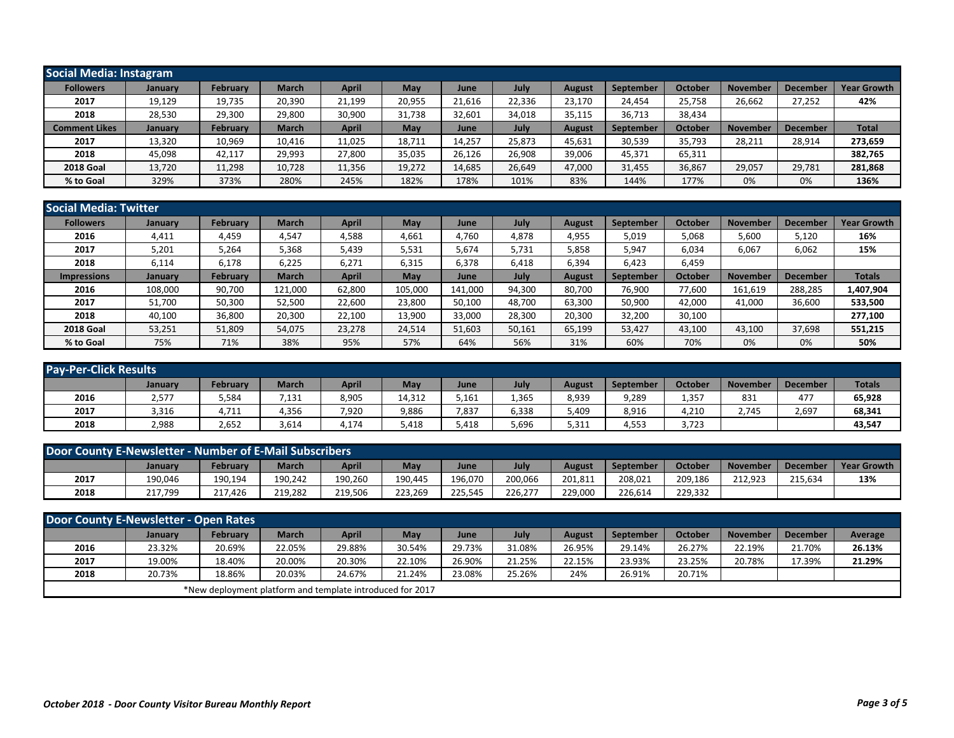| Social Media: Instagram |                |                 |              |              |        |        |        |               |                  |         |          |                 |                    |
|-------------------------|----------------|-----------------|--------------|--------------|--------|--------|--------|---------------|------------------|---------|----------|-----------------|--------------------|
| <b>Followers</b>        | January        | <b>February</b> | <b>March</b> | <b>April</b> | May    | June   | July   | <b>August</b> | <b>September</b> | October | November | <b>December</b> | <b>Year Growth</b> |
| 2017                    | 19,129         | 19,735          | 20,390       | 21,199       | 20,955 | 21,616 | 22,336 | 23,170        | 24,454           | 25,758  | 26,662   | 27,252          | 42%                |
| 2018                    | 28,530         | 29,300          | 29,800       | 30,900       | 31,738 | 32,601 | 34,018 | 35,115        | 36,713           | 38,434  |          |                 |                    |
| <b>Comment Likes</b>    | <b>January</b> | <b>February</b> | <b>March</b> | <b>April</b> | May    | June   | July   | <b>August</b> | <b>September</b> | October | November | <b>December</b> | <b>Total</b>       |
| 2017                    | 13,320         | 10,969          | 10,416       | 11,025       | 18,711 | 14,257 | 25,873 | 45,631        | 30,539           | 35,793  | 28,211   | 28,914          | 273,659            |
| 2018                    | 45,098         | 42,117          | 29,993       | 27,800       | 35,035 | 26,126 | 26,908 | 39,006        | 45,371           | 65,311  |          |                 | 382,765            |
| <b>2018 Goal</b>        | 13,720         | 11,298          | 10,728       | 11,356       | 19,272 | 14,685 | 26,649 | 47,000        | 31,455           | 36,867  | 29,057   | 29,781          | 281,868            |
| % to Goal               | 329%           | 373%            | 280%         | 245%         | 182%   | 178%   | 101%   | 83%           | 144%             | 177%    | 0%       | 0%              | 136%               |

|                    | Social Media: Twitter |                 |         |              |         |         |        |               |                  |         |                 |                 |                    |  |
|--------------------|-----------------------|-----------------|---------|--------------|---------|---------|--------|---------------|------------------|---------|-----------------|-----------------|--------------------|--|
| <b>Followers</b>   | <b>January</b>        | <b>February</b> | March   | <b>April</b> | May     | June    | July   | August        | <b>September</b> | October | <b>November</b> | <b>Decembe</b>  | <b>Year Growth</b> |  |
| 2016               | 4,411                 | 4.459           | 4,547   | 4,588        | 4,661   | 4,760   | 4,878  | 4,955         | 5,019            | 5,068   | 5,600           | 5,120           | 16%                |  |
| 2017               | 5,201                 | 5,264           | 5,368   | 5,439        | 5,531   | 5,674   | 5,731  | 5,858         | 5,947            | 6,034   | 6,067           | 6,062           | 15%                |  |
| 2018               | 6,114                 | 6,178           | 6,225   | 6,271        | 6,315   | 6,378   | 6,418  | 6,394         | 6,423            | 6,459   |                 |                 |                    |  |
| <b>Impressions</b> | January               | <b>February</b> | March   | <b>April</b> | May     | June    | July   | <b>August</b> | <b>September</b> | October | <b>November</b> | <b>December</b> | <b>Totals</b>      |  |
| 2016               | 108,000               | 90,700          | 121,000 | 62,800       | 105,000 | 141,000 | 94,300 | 80,700        | 76,900           | 77,600  | 161,619         | 288,285         | 1,407,904          |  |
| 2017               | 51,700                | 50,300          | 52,500  | 22,600       | 23,800  | 50,100  | 48,700 | 63,300        | 50,900           | 42,000  | 41,000          | 36,600          | 533,500            |  |
| 2018               | 40,100                | 36,800          | 20,300  | 22,100       | 13,900  | 33,000  | 28,300 | 20,300        | 32,200           | 30,100  |                 |                 | 277,100            |  |
| <b>2018 Goal</b>   | 53,251                | 51,809          | 54,075  | 23,278       | 24,514  | 51,603  | 50,161 | 65,199        | 53,427           | 43,100  | 43,100          | 37,698          | 551,215            |  |
| % to Goal          | 75%                   | 71%             | 38%     | 95%          | 57%     | 64%     | 56%    | 31%           | 60%              | 70%     | 0%              | 0%              | 50%                |  |

| <b>Pay-Per-Click Results</b> |         |          |              |              |        |       |       |        |           |         |                 |                 |               |
|------------------------------|---------|----------|--------------|--------------|--------|-------|-------|--------|-----------|---------|-----------------|-----------------|---------------|
|                              | January | February | <b>March</b> | <b>April</b> | May    | June  | July  | August | September | October | <b>November</b> | <b>December</b> | <b>Totals</b> |
| 2016                         | 2,577   | 5,584    | 7,131        | 8,905        | 14,312 | 5,161 | 1,365 | 8,939  | 9,289     | 1,357   | 831             | 477             | 65,928        |
| 2017                         | 3,316   | 4,711    | 4,356        | 7,920        | 9,886  | 7,837 | 6,338 | 5,409  | 8,916     | 4,210   | 2.745           | 2,697           | 68,341        |
| 2018                         | 2,988   | 2,652    | 3,614        | 4,174        | 5,418  | 5,418 | 5,696 | 5,311  | 4,553     | 3,723   |                 |                 | 43,547        |

| Door County E-Newsletter - Number of E-Mail Subscribers |         |                 |              |              |         |         |         |         |           |         |                 |                 |                    |
|---------------------------------------------------------|---------|-----------------|--------------|--------------|---------|---------|---------|---------|-----------|---------|-----------------|-----------------|--------------------|
|                                                         | January | <b>February</b> | <b>March</b> | <b>April</b> | May     | June    | July    | August  | September | October | <b>November</b> | <b>December</b> | <b>Year Growth</b> |
| 2017                                                    | 190,046 | 190,194         | 190,242      | 190,260      | 190.445 | 196,070 | 200,066 | 201,811 | 208,021   | 209,186 | 212,923         | 215.634         | 13%                |
| 2018                                                    | 217,799 | 217.426         | 219,282      | 219,506      | 223,269 | 225,545 | 226.277 | 229,000 | 226,614   | 229,332 |                 |                 |                    |

| Door County E-Newsletter - Open Rates |                |                                                           |              |        |        |        |        |               |           |         |                 |                 |         |
|---------------------------------------|----------------|-----------------------------------------------------------|--------------|--------|--------|--------|--------|---------------|-----------|---------|-----------------|-----------------|---------|
|                                       | <b>January</b> | <b>February</b>                                           | <b>March</b> | April  | May    | June   | July   | <b>August</b> | September | October | <b>November</b> | <b>December</b> | Average |
| 2016                                  | 23.32%         | 20.69%                                                    | 22.05%       | 29.88% | 30.54% | 29.73% | 31.08% | 26.95%        | 29.14%    | 26.27%  | 22.19%          | 21.70%          | 26.13%  |
| 2017                                  | 19.00%         | 18.40%                                                    | 20.00%       | 20.30% | 22.10% | 26.90% | 21.25% | 22.15%        | 23.93%    | 23.25%  | 20.78%          | 17.39%          | 21.29%  |
| 2018                                  | 20.73%         | 18.86%                                                    | 20.03%       | 24.67% | 21.24% | 23.08% | 25.26% | 24%           | 26.91%    | 20.71%  |                 |                 |         |
|                                       |                | *New deployment platform and template introduced for 2017 |              |        |        |        |        |               |           |         |                 |                 |         |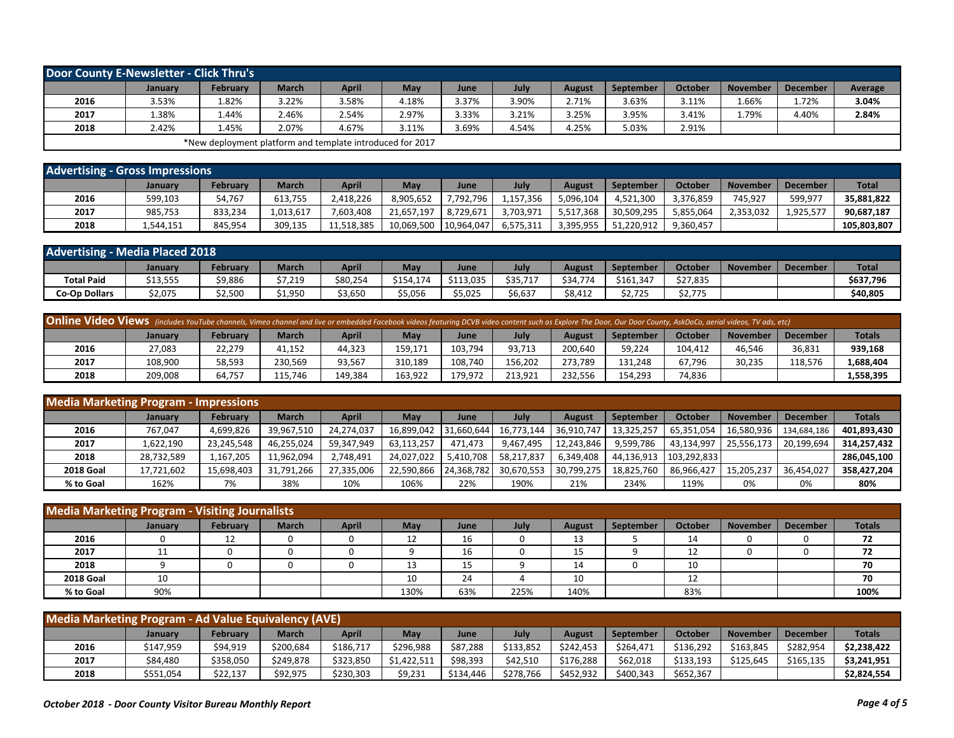| Door County E-Newsletter - Click Thru's |                |                                                           |              |              |       |       |       |               |                  |         |                 |                 |         |
|-----------------------------------------|----------------|-----------------------------------------------------------|--------------|--------------|-------|-------|-------|---------------|------------------|---------|-----------------|-----------------|---------|
|                                         | <b>January</b> | February                                                  | <b>March</b> | <b>April</b> | May   | June  | July  | <b>August</b> | <b>September</b> | October | <b>November</b> | <b>December</b> | Average |
| 2016                                    | 3.53%          | 1.82%                                                     | 3.22%        | 3.58%        | 4.18% | 3.37% | 3.90% | 2.71%         | 3.63%            | 3.11%   | .66%            | 1.72%           | 3.04%   |
| 2017                                    | 1.38%          | 44%،                                                      | 2.46%        | 2.54%        | 2.97% | 3.33% | 3.21% | 3.25%         | 3.95%            | 3.41%   | 79%.            | 4.40%           | 2.84%   |
| 2018                                    | 2.42%          | 45%.                                                      | 2.07%        | 4.67%        | 3.11% | 3.69% | 4.54% | 4.25%         | 5.03%            | 2.91%   |                 |                 |         |
|                                         |                | *New deployment platform and template introduced for 2017 |              |              |       |       |       |               |                  |         |                 |                 |         |

| <b>Advertising - Gross Impressions</b> |           |          |              |              |            |            |           |           |            |           |                 |                 |              |
|----------------------------------------|-----------|----------|--------------|--------------|------------|------------|-----------|-----------|------------|-----------|-----------------|-----------------|--------------|
|                                        | January   | February | <b>March</b> | <b>April</b> | May        | June       | July      | August    | September  | October   | <b>November</b> | <b>December</b> | <b>Total</b> |
| 2016                                   | 599,103   | 54,767   | 613,755      | 2,418,226    | ,905,652   | ,792,796   | .,157,356 | 5,096,104 | 4,521,300  | 3,376,859 | 745,927         | 599,977         | 35,881,822   |
| 2017                                   | 985,753   | 833,234  | 1,013,617    | 7,603,408    | 21,657,197 | 8,729,671  | 3,703,971 | 5,517,368 | 30,509,295 | 5,855,064 | 2,353,032       | 1.925.57        | 90,687,187   |
| 2018                                   | 1,544,151 | 845,954  | 309,135      | 11,518,385   | 10,069,500 | 10,964,047 | 6,575,311 | 3,395,955 | 51,220,912 | 9,360,457 |                 |                 | 105,803,807  |

| <b>Advertising - Media Placed 2018</b> |                |          |              |          |           |           |          |          |            |          |                 |                 |              |
|----------------------------------------|----------------|----------|--------------|----------|-----------|-----------|----------|----------|------------|----------|-----------------|-----------------|--------------|
|                                        | <b>January</b> | February | <b>March</b> | April    | May       | June      | July     | August   | September  | October  | <b>November</b> | <b>December</b> | <b>Total</b> |
| <b>Total Paid</b>                      | \$13,555       | \$9,886  | \$7.219      | \$80,254 | \$154.174 | \$113.035 | \$35,717 | \$34.774 | \$161.347  | \$27,835 |                 |                 | \$637,796    |
| <b>Co-Op Dollars</b>                   | \$2,075        | \$2,500  | \$1,950      | \$3,650  | \$5,056   | \$5,025   | \$6,637  | \$8.412  | 2.725<br>ت | \$2,775  |                 |                 | \$40,805     |

| <b>Online Video Views</b> (includes YouTube channels, Vimeo channel and live or embedded Facebook videos featuring DCVB video content such as Explore The Door, Our Door County, AskDoCo, aerial videos, TV ads, etc) |                |          |              |              |         |         |         |         |           |         |                 |                 |               |
|-----------------------------------------------------------------------------------------------------------------------------------------------------------------------------------------------------------------------|----------------|----------|--------------|--------------|---------|---------|---------|---------|-----------|---------|-----------------|-----------------|---------------|
|                                                                                                                                                                                                                       | <b>January</b> | Februarv | <b>March</b> | <b>April</b> | May     | June    | July    | August  | September | October | <b>November</b> | <b>December</b> | <b>Totals</b> |
| 2016                                                                                                                                                                                                                  | 27,083         | 22.279   | 41.152       | 44,323       | 159.171 | 103.794 | 93.713  | 200.640 | 59,224    | 104.412 | 46,546          | 36,831          | 939,168       |
| 2017                                                                                                                                                                                                                  | 108.900        | 58,593   | 230.569      | 93,567       | 310.189 | 108.740 | 156.202 | 273.789 | 131.248   | 67.796  | 30,235          | 118.576         | 1,688,404     |
| 2018                                                                                                                                                                                                                  | 209.008        | 64.757   | 115.746      | 149,384      | 163.922 | 179.972 | 213.921 | 232,556 | 154,293   | 74,836  |                 |                 | 1,558,395     |

| <b>Media Marketing Program - Impressions</b> |                |                 |              |            |            |            |            |               |            |                          |                 |                 |               |
|----------------------------------------------|----------------|-----------------|--------------|------------|------------|------------|------------|---------------|------------|--------------------------|-----------------|-----------------|---------------|
|                                              | <b>January</b> | <b>February</b> | <b>March</b> | April      | Mav        | June       | July       | <b>August</b> | September  | October                  | <b>November</b> | <b>December</b> | <b>Totals</b> |
| 2016                                         | 767,047        | 4,699,826       | 39,967,510   | 24.274.037 | 16.899.042 | 31.660.644 | 16,773,144 | 36.910.747    | 13,325,257 | 65,351,054               | 16,580,936      | 134.684.186     | 401,893,430   |
| 2017                                         | 1,622,190      | 23,245,548      | 46,255,024   | 59,347,949 | 63.113.257 | 471,473    | 9.467.495  | 12,243,846    | 9,599,786  | 43,134,997               | 25.556.173      | 20,199,694      | 314,257,432   |
| 2018                                         | 28,732,589     | 1,167,205       | 11.962.094   | 2.748.491  | 24,027,022 | 5.410.708  | 58,217,837 | 6,349,408     |            | 44.136.913   103.292.833 |                 |                 | 286,045,100   |
| <b>2018 Goal</b>                             | 17,721,602     | 15,698,403      | 31,791,266   | 27,335,006 | 22.590.866 | 24,368,782 | 30,670,553 | 30,799,275    | 18,825,760 | 86,966,427               | 15,205,237      | 36,454,027      | 358,427,204   |
| % to Goal                                    | 162%           | 7%              | 38%          | 10%        | 106%       | 22%        | 190%       | 21%           | 234%       | 119%                     | 0%              | 0%              | 80%           |

| <b>Media Marketing Program - Visiting Journalists</b> |                |                 |              |              |      |          |      |        |           |         |                 |                 |               |
|-------------------------------------------------------|----------------|-----------------|--------------|--------------|------|----------|------|--------|-----------|---------|-----------------|-----------------|---------------|
|                                                       | <b>January</b> | <b>February</b> | <b>March</b> | <b>April</b> | May  | June     | July | August | September | October | <b>November</b> | <b>December</b> | <b>Totals</b> |
| 2016                                                  |                | 12              |              |              | 12   | 16       |      | 13     |           | 14      |                 |                 | 72            |
| 2017                                                  | 11<br>ᆠᆂ       |                 |              |              |      | 16       |      | 15     |           | 12      |                 |                 | 72            |
| 2018                                                  |                |                 |              |              | 13   | 15<br>ر⊥ |      | 14     |           | 10      |                 |                 | 70            |
| <b>2018 Goal</b>                                      | 10             |                 |              |              | 10   | 24       |      | 10     |           | 12      |                 |                 | 70            |
| % to Goal                                             | 90%            |                 |              |              | 130% | 63%      | 225% | 140%   |           | 83%     |                 |                 | 100%          |

| Media Marketing Program - Ad Value Equivalency (AVE) |           |           |              |           |             |           |           |           |           |                |                 |                 |               |
|------------------------------------------------------|-----------|-----------|--------------|-----------|-------------|-----------|-----------|-----------|-----------|----------------|-----------------|-----------------|---------------|
|                                                      | January   | February  | <b>March</b> | April     | May         | June      | July      | August    | September | <b>October</b> | <b>November</b> | <b>December</b> | <b>Totals</b> |
| 2016                                                 | \$147,959 | \$94.919  | \$200,684    | \$186.717 | \$296.988   | \$87,288  | \$133,852 | \$242,453 | \$264.471 | \$136.292      | \$163.845       | \$282,954       | \$2,238,422   |
| 2017                                                 | \$84,480  | \$358,050 | \$249,878    | \$323,850 | \$1.422.511 | \$98,393  | \$42,510  | \$176,288 | \$62,018  | \$133,193      | \$125,645       | \$165,135       | \$3,241,951   |
| 2018                                                 | \$551,054 | \$22,137  | \$92,975     | \$230,303 | \$9,231     | \$134,446 | \$278,766 | \$452,932 | \$400,343 | \$652,367      |                 |                 | \$2,824,554   |